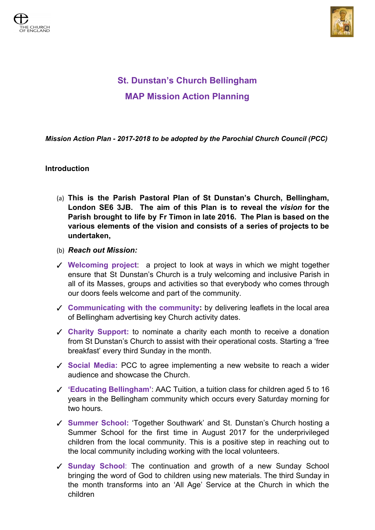



## **St. Dunstan's Church Bellingham MAP Mission Action Planning**

*Mission Action Plan - 2017-2018 to be adopted by the Parochial Church Council (PCC)*

## **Introduction**

- (a) **This is the Parish Pastoral Plan of St Dunstan's Church, Bellingham, London SE6 3JB. The aim of this Plan is to reveal the** *vision* **for the Parish brought to life by Fr Timon in late 2016. The Plan is based on the various elements of the vision and consists of a series of projects to be undertaken,**
- (b) *Reach out Mission:*
- ✓ **Welcoming project**: a project to look at ways in which we might together ensure that St Dunstan's Church is a truly welcoming and inclusive Parish in all of its Masses, groups and activities so that everybody who comes through our doors feels welcome and part of the community.
- ✓ **Communicating with the community:** by delivering leaflets in the local area of Bellingham advertising key Church activity dates.
- ✓ **Charity Support:** to nominate a charity each month to receive a donation from St Dunstan's Church to assist with their operational costs. Starting a 'free breakfast' every third Sunday in the month.
- ✓ **Social Media:** PCC to agree implementing a new website to reach a wider audience and showcase the Church.
- ✓ **'Educating Bellingham'**: AAC Tuition, a tuition class for children aged 5 to 16 years in the Bellingham community which occurs every Saturday morning for two hours.
- ✓ **Summer School:** 'Together Southwark' and St. Dunstan's Church hosting a Summer School for the first time in August 2017 for the underprivileged children from the local community. This is a positive step in reaching out to the local community including working with the local volunteers.
- ✓ **Sunday School**: The continuation and growth of a new Sunday School bringing the word of God to children using new materials. The third Sunday in the month transforms into an 'All Age' Service at the Church in which the children